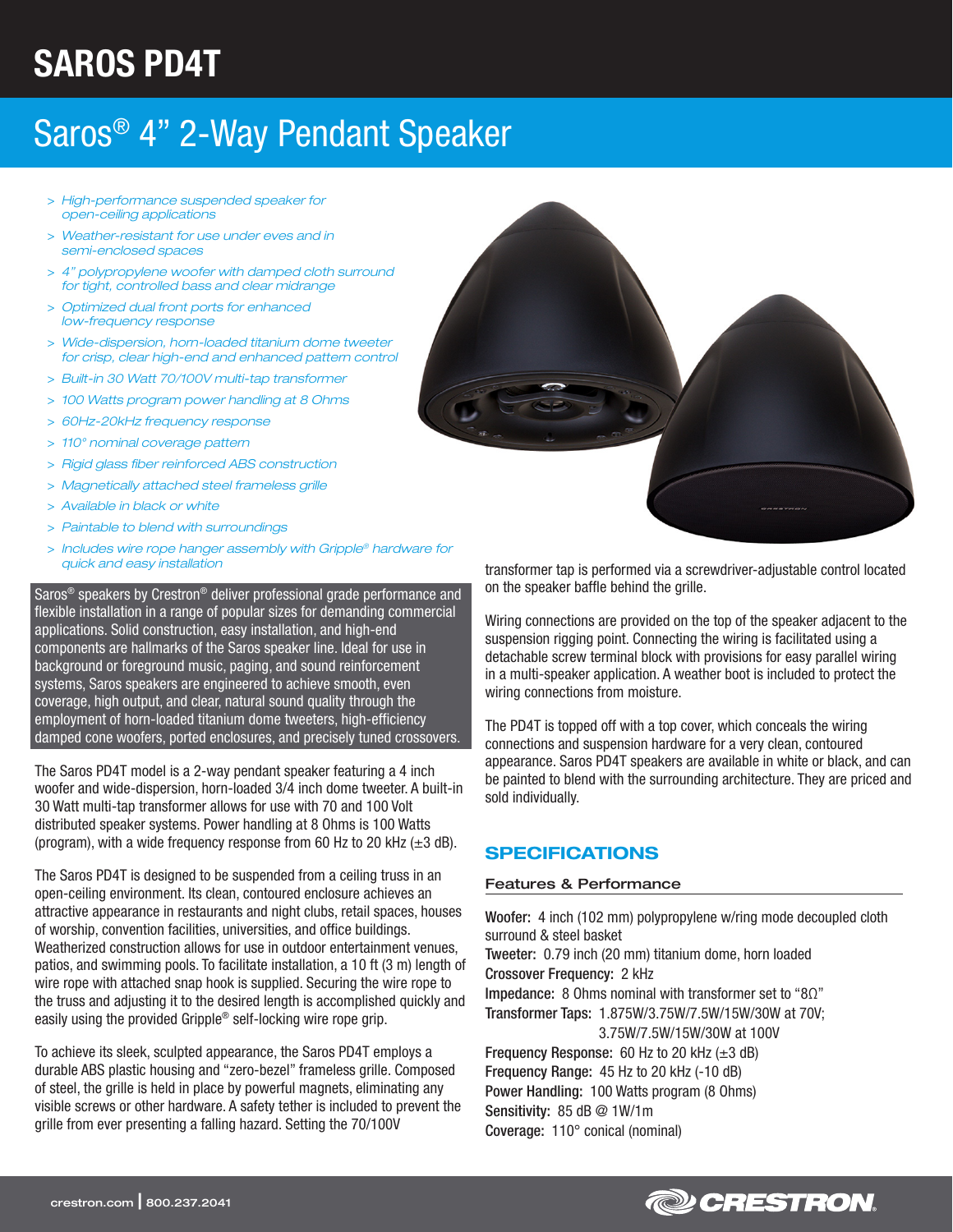# SAROS PD4T

## Saros® 4" 2-Way Pendant Speaker

- > *High-performance suspended speaker for open-ceiling applications*
- > *Weather-resistant for use under eves and in semi-enclosed spaces*
- > *4" polypropylene woofer with damped cloth surround for tight, controlled bass and clear midrange*
- > *Optimized dual front ports for enhanced low-frequency response*
- > *Wide-dispersion, horn-loaded titanium dome tweeter for crisp, clear high-end and enhanced pattern control*
- > *Built-in 30 Watt 70/100V multi-tap transformer*
- > *100 Watts program power handling at 8 Ohms*
- > *60Hz-20kHz frequency response*
- > *110° nominal coverage pattern*
- > *Rigid glass fiber reinforced ABS construction*
- > *Magnetically attached steel frameless grille*
- > *Available in black or white*
- > *Paintable to blend with surroundings*
- > *Includes wire rope hanger assembly with Gripple® hardware for quick and easy installation*

Saros® speakers by Crestron® deliver professional grade performance and flexible installation in a range of popular sizes for demanding commercial applications. Solid construction, easy installation, and high-end components are hallmarks of the Saros speaker line. Ideal for use in background or foreground music, paging, and sound reinforcement systems, Saros speakers are engineered to achieve smooth, even coverage, high output, and clear, natural sound quality through the employment of horn-loaded titanium dome tweeters, high-efficiency damped cone woofers, ported enclosures, and precisely tuned crossovers.

The Saros PD4T model is a 2-way pendant speaker featuring a 4 inch woofer and wide-dispersion, horn-loaded 3/4 inch dome tweeter. A built-in 30 Watt multi-tap transformer allows for use with 70 and 100 Volt distributed speaker systems. Power handling at 8 Ohms is 100 Watts (program), with a wide frequency response from 60 Hz to 20 kHz  $(\pm 3$  dB).

The Saros PD4T is designed to be suspended from a ceiling truss in an open-ceiling environment. Its clean, contoured enclosure achieves an attractive appearance in restaurants and night clubs, retail spaces, houses of worship, convention facilities, universities, and office buildings. Weatherized construction allows for use in outdoor entertainment venues, patios, and swimming pools. To facilitate installation, a 10 ft (3 m) length of wire rope with attached snap hook is supplied. Securing the wire rope to the truss and adjusting it to the desired length is accomplished quickly and easily using the provided Gripple® self-locking wire rope grip.

To achieve its sleek, sculpted appearance, the Saros PD4T employs a durable ABS plastic housing and "zero-bezel" frameless grille. Composed of steel, the grille is held in place by powerful magnets, eliminating any visible screws or other hardware. A safety tether is included to prevent the grille from ever presenting a falling hazard. Setting the 70/100V



transformer tap is performed via a screwdriver-adjustable control located on the speaker baffle behind the grille.

Wiring connections are provided on the top of the speaker adjacent to the suspension rigging point. Connecting the wiring is facilitated using a detachable screw terminal block with provisions for easy parallel wiring in a multi-speaker application. A weather boot is included to protect the wiring connections from moisture.

The PD4T is topped off with a top cover, which conceals the wiring connections and suspension hardware for a very clean, contoured appearance. Saros PD4T speakers are available in white or black, and can be painted to blend with the surrounding architecture. They are priced and sold individually.

### SPECIFICATIONS

#### Features & Performance

Woofer: 4 inch (102 mm) polypropylene w/ring mode decoupled cloth surround & steel basket Tweeter: 0.79 inch (20 mm) titanium dome, horn loaded Crossover Frequency: 2 kHz Impedance: 8 Ohms nominal with transformer set to "8Ω" Transformer Taps: 1.875W/3.75W/7.5W/15W/30W at 70V; 3.75W/7.5W/15W/30W at 100V Frequency Response: 60 Hz to 20 kHz (±3 dB) Frequency Range: 45 Hz to 20 kHz (-10 dB) Power Handling: 100 Watts program (8 Ohms) Sensitivity: 85 dB @ 1W/1m Coverage: 110° conical (nominal)

**@CRESTRON**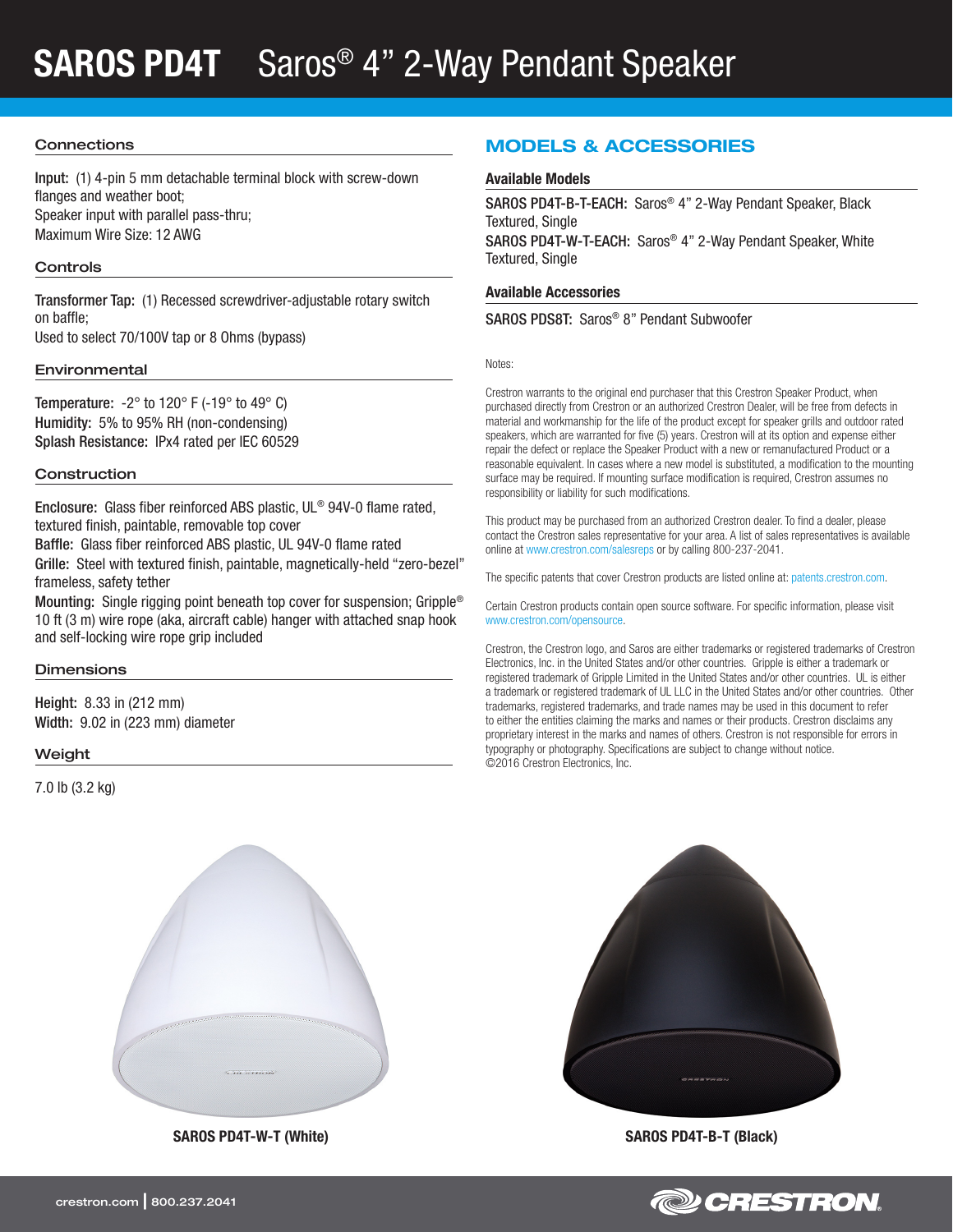## SAROS PD4T Saros® 4" 2-Way Pendant Speaker

#### **Connections**

Input: (1) 4-pin 5 mm detachable terminal block with screw-down flanges and weather boot; Speaker input with parallel pass-thru; Maximum Wire Size: 12 AWG

#### **Controls**

Transformer Tap: (1) Recessed screwdriver-adjustable rotary switch on baffle;

Used to select 70/100V tap or 8 Ohms (bypass)

#### Environmental

Temperature:  $-2^\circ$  to 120° F ( $-19^\circ$  to 49° C) Humidity: 5% to 95% RH (non-condensing) Splash Resistance: IPx4 rated per IEC 60529

#### **Construction**

Enclosure: Glass fiber reinforced ABS plastic, UL® 94V-0 flame rated, textured finish, paintable, removable top cover

Baffle: Glass fiber reinforced ABS plastic, UL 94V-0 flame rated Grille: Steel with textured finish, paintable, magnetically-held "zero-bezel" frameless, safety tether

Mounting: Single rigging point beneath top cover for suspension; Gripple® 10 ft (3 m) wire rope (aka, aircraft cable) hanger with attached snap hook and self-locking wire rope grip included

#### **Dimensions**

Height: 8.33 in (212 mm) Width: 9.02 in (223 mm) diameter

#### Weight

7.0 lb (3.2 kg)



SAROS PD4T-W-T (White) SAROS PD4T-B-T (Black)

### MODELS & ACCESSORIES

#### Available Models

SAROS PD4T-B-T-EACH: Saros® 4" 2-Way Pendant Speaker, Black Textured, Single SAROS PD4T-W-T-EACH: Saros® 4" 2-Way Pendant Speaker, White Textured, Single

#### Available Accessories

SAROS PDS8T: Saros® 8" Pendant Subwoofer

Notes:

Crestron warrants to the original end purchaser that this Crestron Speaker Product, when purchased directly from Crestron or an authorized Crestron Dealer, will be free from defects in material and workmanship for the life of the product except for speaker grills and outdoor rated speakers, which are warranted for five (5) years. Crestron will at its option and expense either repair the defect or replace the Speaker Product with a new or remanufactured Product or a reasonable equivalent. In cases where a new model is substituted, a modification to the mounting surface may be required. If mounting surface modification is required, Crestron assumes no responsibility or liability for such modifications.

This product may be purchased from an authorized Crestron dealer. To find a dealer, please contact the Crestron sales representative for your area. A list of sales representatives is available online at [www.crestron.com/salesreps](http://www.crestron.com/salesreps) or by calling 800-237-2041.

The specific patents that cover Crestron products are listed online at: [patents.crestron.com.](http://patents.crestron.com)

Certain Crestron products contain open source software. For specific information, please visit [www.crestron.com/opensource](http://www.crestron.com/opensource).

Crestron, the Crestron logo, and Saros are either trademarks or registered trademarks of Crestron Electronics, Inc. in the United States and/or other countries. Gripple is either a trademark or registered trademark of Gripple Limited in the United States and/or other countries. UL is either a trademark or registered trademark of UL LLC in the United States and/or other countries. Other trademarks, registered trademarks, and trade names may be used in this document to refer to either the entities claiming the marks and names or their products. Crestron disclaims any proprietary interest in the marks and names of others. Crestron is not responsible for errors in typography or photography. Specifications are subject to change without notice. ©2016 Crestron Electronics, Inc.